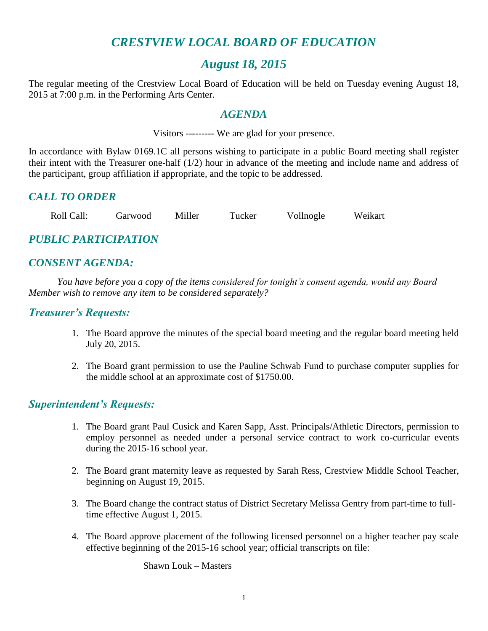# *CRESTVIEW LOCAL BOARD OF EDUCATION*

# *August 18, 2015*

The regular meeting of the Crestview Local Board of Education will be held on Tuesday evening August 18, 2015 at 7:00 p.m. in the Performing Arts Center.

## *AGENDA*

Visitors --------- We are glad for your presence.

In accordance with Bylaw 0169.1C all persons wishing to participate in a public Board meeting shall register their intent with the Treasurer one-half (1/2) hour in advance of the meeting and include name and address of the participant, group affiliation if appropriate, and the topic to be addressed.

## *CALL TO ORDER*

Roll Call: Garwood Miller Tucker Vollnogle Weikart

## *PUBLIC PARTICIPATION*

# *CONSENT AGENDA:*

*You have before you a copy of the items considered for tonight's consent agenda, would any Board Member wish to remove any item to be considered separately?*

## *Treasurer's Requests:*

- 1. The Board approve the minutes of the special board meeting and the regular board meeting held July 20, 2015.
- 2. The Board grant permission to use the Pauline Schwab Fund to purchase computer supplies for the middle school at an approximate cost of \$1750.00.

## *Superintendent's Requests:*

- 1. The Board grant Paul Cusick and Karen Sapp, Asst. Principals/Athletic Directors, permission to employ personnel as needed under a personal service contract to work co-curricular events during the 2015-16 school year.
- 2. The Board grant maternity leave as requested by Sarah Ress, Crestview Middle School Teacher, beginning on August 19, 2015.
- 3. The Board change the contract status of District Secretary Melissa Gentry from part-time to fulltime effective August 1, 2015.
- 4. The Board approve placement of the following licensed personnel on a higher teacher pay scale effective beginning of the 2015-16 school year; official transcripts on file:

Shawn Louk – Masters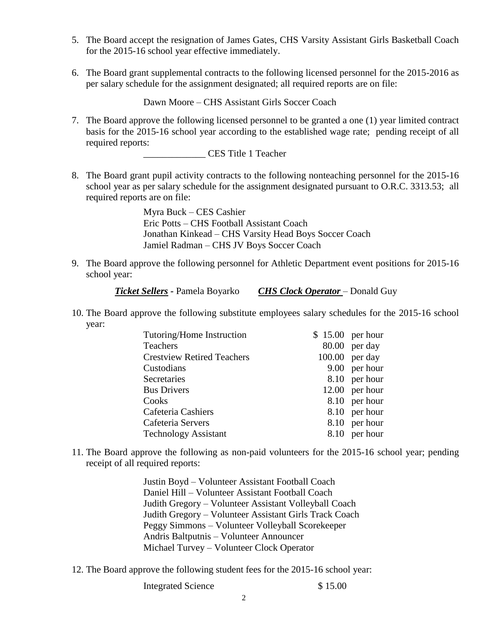- 5. The Board accept the resignation of James Gates, CHS Varsity Assistant Girls Basketball Coach for the 2015-16 school year effective immediately.
- 6. The Board grant supplemental contracts to the following licensed personnel for the 2015-2016 as per salary schedule for the assignment designated; all required reports are on file:

Dawn Moore – CHS Assistant Girls Soccer Coach

7. The Board approve the following licensed personnel to be granted a one (1) year limited contract basis for the 2015-16 school year according to the established wage rate; pending receipt of all required reports:

\_\_\_\_\_\_\_\_\_\_\_\_\_ CES Title 1 Teacher

8. The Board grant pupil activity contracts to the following nonteaching personnel for the 2015-16 school year as per salary schedule for the assignment designated pursuant to O.R.C. 3313.53; all required reports are on file:

> Myra Buck – CES Cashier Eric Potts – CHS Football Assistant Coach Jonathan Kinkead – CHS Varsity Head Boys Soccer Coach Jamiel Radman – CHS JV Boys Soccer Coach

9. The Board approve the following personnel for Athletic Department event positions for 2015-16 school year:

*Ticket Sellers -* Pamela Boyarko *CHS Clock Operator* – Donald Guy

10. The Board approve the following substitute employees salary schedules for the 2015-16 school year:

| Tutoring/Home Instruction         | $$15.00$ per hour |                  |
|-----------------------------------|-------------------|------------------|
| <b>Teachers</b>                   |                   | $80.00$ per day  |
| <b>Crestview Retired Teachers</b> |                   | $100.00$ per day |
| Custodians                        |                   | 9.00 per hour    |
| Secretaries                       |                   | 8.10 per hour    |
| <b>Bus Drivers</b>                |                   | $12.00$ per hour |
| Cooks                             |                   | 8.10 per hour    |
| Cafeteria Cashiers                |                   | 8.10 per hour    |
| Cafeteria Servers                 |                   | 8.10 per hour    |
| <b>Technology Assistant</b>       |                   | 8.10 per hour    |

11. The Board approve the following as non-paid volunteers for the 2015-16 school year; pending receipt of all required reports:

> Justin Boyd – Volunteer Assistant Football Coach Daniel Hill – Volunteer Assistant Football Coach Judith Gregory – Volunteer Assistant Volleyball Coach Judith Gregory – Volunteer Assistant Girls Track Coach Peggy Simmons – Volunteer Volleyball Scorekeeper Andris Baltputnis – Volunteer Announcer Michael Turvey – Volunteer Clock Operator

12. The Board approve the following student fees for the 2015-16 school year:

Integrated Science \$ 15.00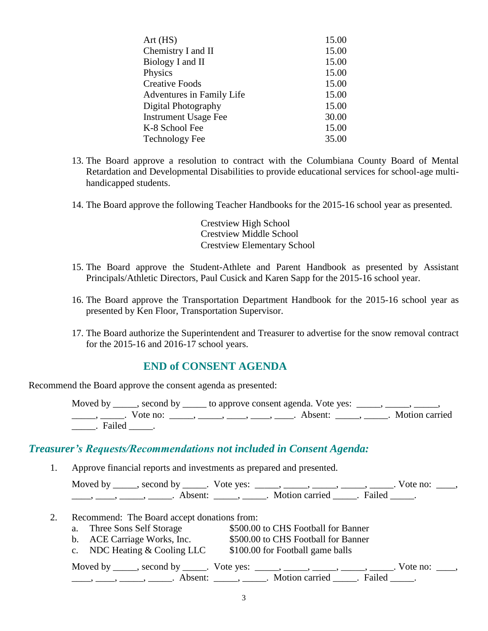| Art(HS)                     | 15.00 |
|-----------------------------|-------|
| Chemistry I and II          | 15.00 |
| Biology I and II            | 15.00 |
| Physics                     | 15.00 |
| <b>Creative Foods</b>       | 15.00 |
| Adventures in Family Life   | 15.00 |
| Digital Photography         | 15.00 |
| <b>Instrument Usage Fee</b> | 30.00 |
| K-8 School Fee              | 15.00 |
| <b>Technology Fee</b>       | 35.00 |

- 13. The Board approve a resolution to contract with the Columbiana County Board of Mental Retardation and Developmental Disabilities to provide educational services for school-age multihandicapped students.
- 14. The Board approve the following Teacher Handbooks for the 2015-16 school year as presented.

Crestview High School Crestview Middle School Crestview Elementary School

- 15. The Board approve the Student-Athlete and Parent Handbook as presented by Assistant Principals/Athletic Directors, Paul Cusick and Karen Sapp for the 2015-16 school year.
- 16. The Board approve the Transportation Department Handbook for the 2015-16 school year as presented by Ken Floor, Transportation Supervisor.
- 17. The Board authorize the Superintendent and Treasurer to advertise for the snow removal contract for the 2015-16 and 2016-17 school years.

## **END of CONSENT AGENDA**

Recommend the Board approve the consent agenda as presented:

Moved by \_\_\_\_, second by \_\_\_\_\_ to approve consent agenda. Vote yes: \_\_\_\_, \_\_\_ \_\_\_\_\_\_, \_\_\_\_\_\_. Vote no: \_\_\_\_\_, \_\_\_\_\_, \_\_\_\_\_, \_\_\_\_\_, \_\_\_\_\_. Absent: \_\_\_\_\_\_, \_\_\_\_\_. Motion carried \_\_\_\_\_. Failed \_\_\_\_\_.

## *Treasurer's Requests/Recommendations not included in Consent Agenda:*

1. Approve financial reports and investments as prepared and presented.

| Moved by | $\sim$ second by    | Vote yes: |                  |        | Vote no: |
|----------|---------------------|-----------|------------------|--------|----------|
|          | Absent <sup>.</sup> |           | Motion carried . | Failed |          |

- 2. Recommend: The Board accept donations from:
	- a. Three Sons Self Storage \$500.00 to CHS Football for Banner b. ACE Carriage Works, Inc. \$500.00 to CHS Football for Banner c. NDC Heating & Cooling LLC \$100.00 for Football game balls Moved by \_\_\_\_\_, second by \_\_\_\_\_. Vote yes:  $\frac{1}{\sqrt{2}}$ , \_\_\_\_, \_\_\_\_, \_\_\_\_, \_\_\_\_. Vote no: \_\_\_, \_\_\_\_\_, \_\_\_\_\_\_, \_\_\_\_\_\_\_. Absent: \_\_\_\_\_\_, \_\_\_\_\_\_. Motion carried \_\_\_\_\_\_. Failed \_\_\_\_\_.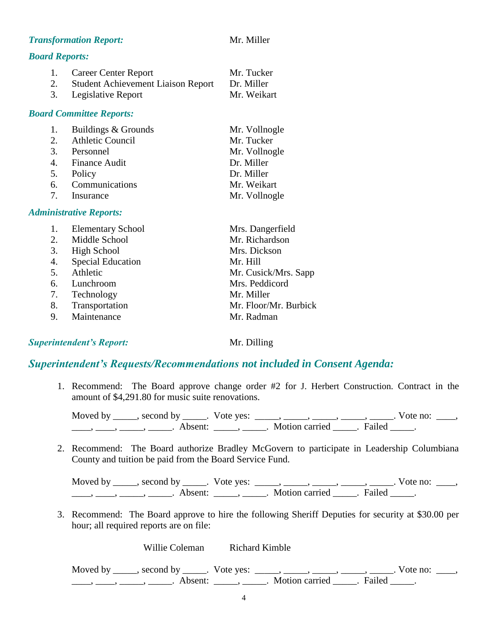#### **Transformation Report:** Mr. Miller

#### *Board Reports:*

| 1. Career Center Report               | Mr. Tucker  |
|---------------------------------------|-------------|
| 2. Student Achievement Liaison Report | Dr. Miller  |
| 3. Legislative Report                 | Mr. Weikart |

#### *Board Committee Reports:*

| 1. | Buildings & Grounds | Mr. Vollnogle |
|----|---------------------|---------------|
|    | 2. Athletic Council | Mr. Tucker    |
|    | 3. Personnel        | Mr. Vollnogle |
|    | 4. Finance Audit    | Dr. Miller    |
|    | 5. Policy           | Dr. Miller    |
|    | 6. Communications   | Mr. Weikart   |
|    | 7. Insurance        | Mr. Vollnogle |

#### *Administrative Reports:*

| 1. Elementary School | Mrs. Dangerfield      |
|----------------------|-----------------------|
| 2. Middle School     | Mr. Richardson        |
| 3. High School       | Mrs. Dickson          |
| 4. Special Education | Mr. Hill              |
| 5. Athletic          | Mr. Cusick/Mrs. Sapp  |
| 6. Lunchroom         | Mrs. Peddicord        |
| 7. Technology        | Mr. Miller            |
| 8. Transportation    | Mr. Floor/Mr. Burbick |
| 9. Maintenance       | Mr. Radman            |

## *Superintendent's Report:* Mr. Dilling

## *Superintendent's Requests/Recommendations not included in Consent Agenda:*

1. Recommend: The Board approve change order #2 for J. Herbert Construction. Contract in the amount of \$4,291.80 for music suite renovations.

Moved by \_\_\_\_\_, second by \_\_\_\_\_. Vote yes: \_\_\_\_\_, \_\_\_\_\_, \_\_\_\_\_, \_\_\_\_\_, \_\_\_\_\_. Vote no: \_\_\_\_, \_\_\_\_\_, \_\_\_\_\_, \_\_\_\_\_\_\_. Absent: \_\_\_\_\_\_, \_\_\_\_\_\_. Motion carried \_\_\_\_\_. Failed \_\_\_\_\_.

2. Recommend: The Board authorize Bradley McGovern to participate in Leadership Columbiana County and tuition be paid from the Board Service Fund.

Moved by \_\_\_\_\_, second by \_\_\_\_\_. Vote yes: \_\_\_\_\_, \_\_\_\_\_, \_\_\_\_\_, \_\_\_\_\_, \_\_\_\_\_. Vote no: \_\_\_\_,  $\underbrace{\hspace{1cm}}$ ,  $\underbrace{\hspace{1cm}}$ ,  $\underbrace{\hspace{1cm}}$  Absent:  $\underbrace{\hspace{1cm}}$ ,  $\underbrace{\hspace{1cm}}$ . Motion carried  $\underbrace{\hspace{1cm}}$ . Failed  $\underbrace{\hspace{1cm}}$ .

3. Recommend: The Board approve to hire the following Sheriff Deputies for security at \$30.00 per hour; all required reports are on file:

Willie Coleman Richard Kimble

Moved by \_\_\_\_\_, second by \_\_\_\_\_. Vote yes:  $\_\_\_\_\_\_\_\_\_\_\_\_\_\_\_\_\_\_\_\_$  \_\_\_\_,  $\_\_\_\_\_\_\_\_\_\_\_\_\_\_\_\_\_$ . Vote no:  $\_\_\_\_\_\_\_\_$  $\overline{\phantom{a}}$ ,  $\overline{\phantom{a}}$ ,  $\overline{\phantom{a}}$ ,  $\overline{\phantom{a}}$ ,  $\overline{\phantom{a}}$  Absent:  $\overline{\phantom{a}}$ ,  $\overline{\phantom{a}}$ ,  $\overline{\phantom{a}}$ ,  $\overline{\phantom{a}}$ ,  $\overline{\phantom{a}}$ ,  $\overline{\phantom{a}}$ ,  $\overline{\phantom{a}}$ ,  $\overline{\phantom{a}}$ ,  $\overline{\phantom{a}}$ ,  $\overline{\phantom{a}}$ ,  $\overline{\phantom{a}}$ ,  $\overline{\phant$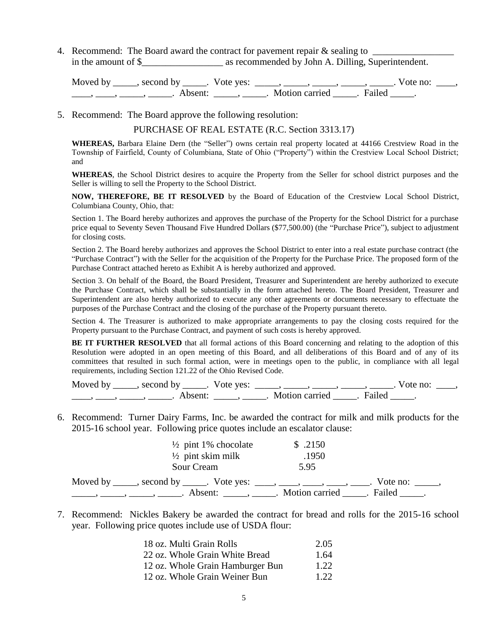4. Recommend: The Board award the contract for pavement repair  $\&$  sealing to  $\qquad$ in the amount of \$ as recommended by John A. Dilling, Superintendent.

Moved by \_\_\_\_\_, second by \_\_\_\_\_. Vote yes: \_\_\_\_\_, \_\_\_\_\_, \_\_\_\_\_, \_\_\_\_\_, \_\_\_\_\_. Vote no: \_\_\_\_,  $\frac{1}{\sqrt{2\pi}}$ ,  $\frac{1}{\sqrt{2\pi}}$ ,  $\frac{1}{\sqrt{2\pi}}$ ,  $\frac{1}{\sqrt{2\pi}}$ ,  $\frac{1}{\sqrt{2\pi}}$ ,  $\frac{1}{\sqrt{2\pi}}$ ,  $\frac{1}{\sqrt{2\pi}}$ ,  $\frac{1}{\sqrt{2\pi}}$ ,  $\frac{1}{\sqrt{2\pi}}$ ,  $\frac{1}{\sqrt{2\pi}}$ 

5. Recommend: The Board approve the following resolution:

PURCHASE OF REAL ESTATE (R.C. Section 3313.17)

**WHEREAS,** Barbara Elaine Dern (the "Seller") owns certain real property located at 44166 Crestview Road in the Township of Fairfield, County of Columbiana, State of Ohio ("Property") within the Crestview Local School District; and

**WHEREAS**, the School District desires to acquire the Property from the Seller for school district purposes and the Seller is willing to sell the Property to the School District.

**NOW, THEREFORE, BE IT RESOLVED** by the Board of Education of the Crestview Local School District, Columbiana County, Ohio, that:

Section 1. The Board hereby authorizes and approves the purchase of the Property for the School District for a purchase price equal to Seventy Seven Thousand Five Hundred Dollars (\$77,500.00) (the "Purchase Price"), subject to adjustment for closing costs.

Section 2. The Board hereby authorizes and approves the School District to enter into a real estate purchase contract (the "Purchase Contract") with the Seller for the acquisition of the Property for the Purchase Price. The proposed form of the Purchase Contract attached hereto as Exhibit A is hereby authorized and approved.

Section 3. On behalf of the Board, the Board President, Treasurer and Superintendent are hereby authorized to execute the Purchase Contract, which shall be substantially in the form attached hereto. The Board President, Treasurer and Superintendent are also hereby authorized to execute any other agreements or documents necessary to effectuate the purposes of the Purchase Contract and the closing of the purchase of the Property pursuant thereto.

Section 4. The Treasurer is authorized to make appropriate arrangements to pay the closing costs required for the Property pursuant to the Purchase Contract, and payment of such costs is hereby approved.

**BE IT FURTHER RESOLVED** that all formal actions of this Board concerning and relating to the adoption of this Resolution were adopted in an open meeting of this Board, and all deliberations of this Board and of any of its committees that resulted in such formal action, were in meetings open to the public, in compliance with all legal requirements, including Section 121.22 of the Ohio Revised Code.

Moved by \_\_\_\_\_, second by \_\_\_\_\_. Vote yes:  $\_\_\_\_\_\_\_\_\_\_\_\_\_\_\_$  \_\_\_\_\_, \_\_\_\_\_, \_\_\_\_\_. Vote no:  $\_\_\_\_\_\_\$ \_\_\_\_\_, \_\_\_\_\_\_, \_\_\_\_\_\_\_. Absent: \_\_\_\_\_\_, \_\_\_\_\_\_. Motion carried \_\_\_\_\_\_. Failed \_\_\_\_\_.

6. Recommend: Turner Dairy Farms, Inc. be awarded the contract for milk and milk products for the 2015-16 school year. Following price quotes include an escalator clause:

| $\frac{1}{2}$ pint 1% chocolate                                        | \$.2150                 |
|------------------------------------------------------------------------|-------------------------|
| $\frac{1}{2}$ pint skim milk                                           | .1950                   |
| Sour Cream                                                             | 5.95                    |
| Moved by _____, second by _____. Vote yes: ____, ___, ___, ____, ____, | Vote no:                |
| Absent: _____, ______.                                                 | Motion carried . Failed |

7. Recommend: Nickles Bakery be awarded the contract for bread and rolls for the 2015-16 school year. Following price quotes include use of USDA flour:

| 18 oz. Multi Grain Rolls         | 2.05 |
|----------------------------------|------|
| 22 oz. Whole Grain White Bread   | 1.64 |
| 12 oz. Whole Grain Hamburger Bun | 1.22 |
| 12 oz. Whole Grain Weiner Bun    | 1.22 |